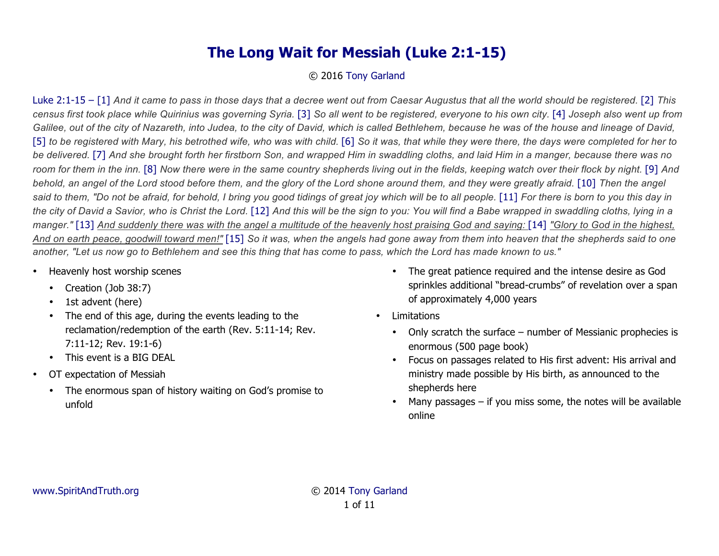## **The Long Wait for Messiah (Luke 2:1-15)**

## © 2016 Tony Garland

Luke 2:1-15 – [1] *And it came to pass in those days that a decree went out from Caesar Augustus that all the world should be registered.* [2] *This census first took place while Quirinius was governing Syria.* [3] *So all went to be registered, everyone to his own city.* [4] *Joseph also went up from Galilee, out of the city of Nazareth, into Judea, to the city of David, which is called Bethlehem, because he was of the house and lineage of David,*  [5] to be registered with Mary, his betrothed wife, who was with child. [6] So it was, that while they were there, the days were completed for her to *be delivered.* [7] *And she brought forth her firstborn Son, and wrapped Him in swaddling cloths, and laid Him in a manger, because there was no room for them in the inn.* [8] *Now there were in the same country shepherds living out in the fields, keeping watch over their flock by night.* [9] *And*  behold, an angel of the Lord stood before them, and the glory of the Lord shone around them, and they were greatly afraid. [10] Then the angel said to them, "Do not be afraid, for behold, I bring you good tidings of great joy which will be to all people. [11] For there is born to you this day in *the city of David a Savior, who is Christ the Lord.* [12] *And this will be the sign to you: You will find a Babe wrapped in swaddling cloths, lying in a manger."* [13] And suddenly there was with the angel a multitude of the heavenly host praising God and saying: [14] "Glory to God in the highest, *And on earth peace, goodwill toward men!"* [15] *So it was, when the angels had gone away from them into heaven that the shepherds said to one another, "Let us now go to Bethlehem and see this thing that has come to pass, which the Lord has made known to us."*

- Heavenly host worship scenes
	- Creation (Job 38:7)
	- 1st advent (here)
	- The end of this age, during the events leading to the reclamation/redemption of the earth (Rev. 5:11-14; Rev. 7:11-12; Rev. 19:1-6)
	- This event is a BIG DEAL
- OT expectation of Messiah
	- The enormous span of history waiting on God's promise to unfold
- The great patience required and the intense desire as God sprinkles additional "bread-crumbs" of revelation over a span of approximately 4,000 years
- Limitations
	- Only scratch the surface number of Messianic prophecies is enormous (500 page book)
	- Focus on passages related to His first advent: His arrival and ministry made possible by His birth, as announced to the shepherds here
	- Many passages if you miss some, the notes will be available online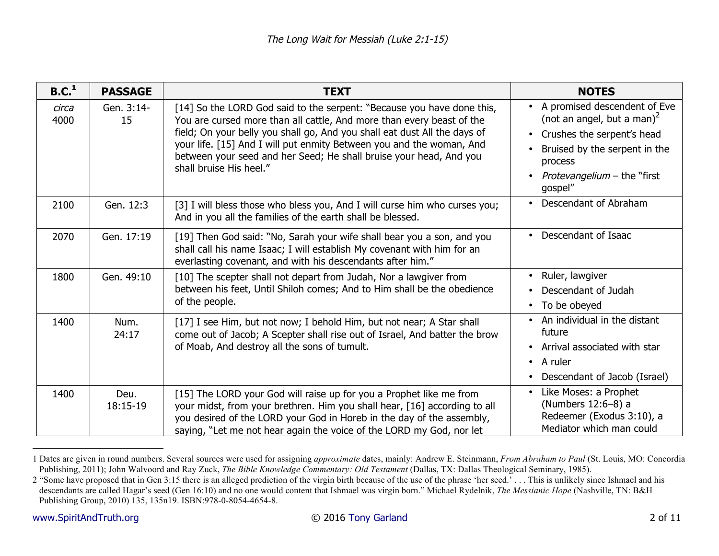| B.C. <sup>1</sup> | <b>PASSAGE</b>   | <b>TEXT</b>                                                                                                                                                                                                                                                                                                                                                                                           | <b>NOTES</b>                                                                                                                                                                                  |
|-------------------|------------------|-------------------------------------------------------------------------------------------------------------------------------------------------------------------------------------------------------------------------------------------------------------------------------------------------------------------------------------------------------------------------------------------------------|-----------------------------------------------------------------------------------------------------------------------------------------------------------------------------------------------|
| circa<br>4000     | Gen. 3:14-<br>15 | [14] So the LORD God said to the serpent: "Because you have done this,<br>You are cursed more than all cattle, And more than every beast of the<br>field; On your belly you shall go, And you shall eat dust All the days of<br>your life. [15] And I will put enmity Between you and the woman, And<br>between your seed and her Seed; He shall bruise your head, And you<br>shall bruise His heel." | • A promised descendent of Eve<br>(not an angel, but a man) <sup>2</sup><br>Crushes the serpent's head<br>Bruised by the serpent in the<br>process<br>Protevangelium - the "first"<br>gospel" |
| 2100              | Gen. 12:3        | [3] I will bless those who bless you, And I will curse him who curses you;<br>And in you all the families of the earth shall be blessed.                                                                                                                                                                                                                                                              | • Descendant of Abraham                                                                                                                                                                       |
| 2070              | Gen. 17:19       | [19] Then God said: "No, Sarah your wife shall bear you a son, and you<br>shall call his name Isaac; I will establish My covenant with him for an<br>everlasting covenant, and with his descendants after him."                                                                                                                                                                                       | Descendant of Isaac<br>$\bullet$                                                                                                                                                              |
| 1800              | Gen. 49:10       | [10] The scepter shall not depart from Judah, Nor a lawgiver from<br>between his feet, Until Shiloh comes; And to Him shall be the obedience<br>of the people.                                                                                                                                                                                                                                        | Ruler, lawgiver<br>Descendant of Judah<br>• To be obeyed                                                                                                                                      |
| 1400              | Num.<br>24:17    | [17] I see Him, but not now; I behold Him, but not near; A Star shall<br>come out of Jacob; A Scepter shall rise out of Israel, And batter the brow<br>of Moab, And destroy all the sons of tumult.                                                                                                                                                                                                   | • An individual in the distant<br>future<br>• Arrival associated with star<br>$\bullet$ A ruler<br>Descendant of Jacob (Israel)                                                               |
| 1400              | Deu.<br>18:15-19 | [15] The LORD your God will raise up for you a Prophet like me from<br>your midst, from your brethren. Him you shall hear, [16] according to all<br>you desired of the LORD your God in Horeb in the day of the assembly,<br>saying, "Let me not hear again the voice of the LORD my God, nor let                                                                                                     | Like Moses: a Prophet<br>(Numbers 12:6-8) a<br>Redeemer (Exodus 3:10), a<br>Mediator which man could                                                                                          |

<sup>1</sup> Dates are given in round numbers. Several sources were used for assigning *approximate* dates, mainly: Andrew E. Steinmann, *From Abraham to Paul* (St. Louis, MO: Concordia Publishing, 2011); John Walvoord and Ray Zuck, *The Bible Knowledge Commentary: Old Testament* (Dallas, TX: Dallas Theological Seminary, 1985).

<sup>2 &</sup>quot;Some have proposed that in Gen 3:15 there is an alleged prediction of the virgin birth because of the use of the phrase 'her seed.' . . . This is unlikely since Ishmael and his descendants are called Hagar's seed (Gen 16:10) and no one would content that Ishmael was virgin born." Michael Rydelnik, *The Messianic Hope* (Nashville, TN: B&H Publishing Group, 2010) 135, 135n19. ISBN:978-0-8054-4654-8.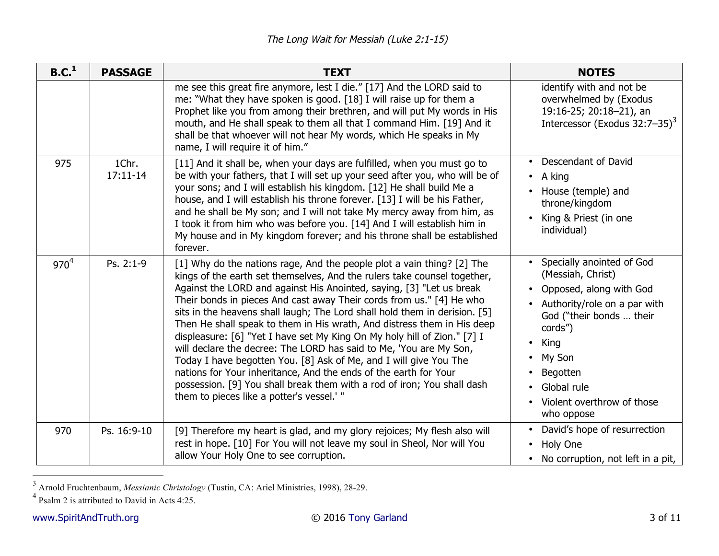| B.C. <sup>1</sup> | <b>PASSAGE</b>        | <b>TEXT</b>                                                                                                                                                                                                                                                                                                                                                                                                                                                                                                                                                                                                                                                                                                                                                                                                                                                                    | <b>NOTES</b>                                                                                                                                                                                                                                           |
|-------------------|-----------------------|--------------------------------------------------------------------------------------------------------------------------------------------------------------------------------------------------------------------------------------------------------------------------------------------------------------------------------------------------------------------------------------------------------------------------------------------------------------------------------------------------------------------------------------------------------------------------------------------------------------------------------------------------------------------------------------------------------------------------------------------------------------------------------------------------------------------------------------------------------------------------------|--------------------------------------------------------------------------------------------------------------------------------------------------------------------------------------------------------------------------------------------------------|
|                   |                       | me see this great fire anymore, lest I die." [17] And the LORD said to<br>me: "What they have spoken is good. [18] I will raise up for them a<br>Prophet like you from among their brethren, and will put My words in His<br>mouth, and He shall speak to them all that I command Him. [19] And it<br>shall be that whoever will not hear My words, which He speaks in My<br>name, I will require it of him."                                                                                                                                                                                                                                                                                                                                                                                                                                                                  | identify with and not be<br>overwhelmed by (Exodus<br>19:16-25; 20:18-21), an<br>Intercessor (Exodus $32:7-35$ ) <sup>3</sup>                                                                                                                          |
| 975               | 1Chr.<br>$17:11 - 14$ | [11] And it shall be, when your days are fulfilled, when you must go to<br>be with your fathers, that I will set up your seed after you, who will be of<br>your sons; and I will establish his kingdom. [12] He shall build Me a<br>house, and I will establish his throne forever. [13] I will be his Father,<br>and he shall be My son; and I will not take My mercy away from him, as<br>I took it from him who was before you. [14] And I will establish him in<br>My house and in My kingdom forever; and his throne shall be established<br>forever.                                                                                                                                                                                                                                                                                                                     | • Descendant of David<br>$\bullet$ A king<br>House (temple) and<br>throne/kingdom<br>King & Priest (in one<br>individual)                                                                                                                              |
| $970^{4}$         | Ps. 2:1-9             | [1] Why do the nations rage, And the people plot a vain thing? [2] The<br>kings of the earth set themselves, And the rulers take counsel together,<br>Against the LORD and against His Anointed, saying, [3] "Let us break<br>Their bonds in pieces And cast away Their cords from us." [4] He who<br>sits in the heavens shall laugh; The Lord shall hold them in derision. [5]<br>Then He shall speak to them in His wrath, And distress them in His deep<br>displeasure: [6] "Yet I have set My King On My holy hill of Zion." [7] I<br>will declare the decree: The LORD has said to Me, 'You are My Son,<br>Today I have begotten You. [8] Ask of Me, and I will give You The<br>nations for Your inheritance, And the ends of the earth for Your<br>possession. [9] You shall break them with a rod of iron; You shall dash<br>them to pieces like a potter's vessel.' " | Specially anointed of God<br>(Messiah, Christ)<br>Opposed, along with God<br>Authority/role on a par with<br>God ("their bonds  their<br>cords")<br>King<br>My Son<br>$\bullet$<br>Begotten<br>Global rule<br>Violent overthrow of those<br>who oppose |
| 970               | Ps. 16:9-10           | [9] Therefore my heart is glad, and my glory rejoices; My flesh also will<br>rest in hope. [10] For You will not leave my soul in Sheol, Nor will You<br>allow Your Holy One to see corruption.                                                                                                                                                                                                                                                                                                                                                                                                                                                                                                                                                                                                                                                                                | David's hope of resurrection<br>Holy One<br>$\bullet$<br>• No corruption, not left in a pit,                                                                                                                                                           |

<sup>&</sup>lt;sup>3</sup> Arnold Fruchtenbaum, *Messianic Christology* (Tustin, CA: Ariel Ministries, 1998), 28-29.<br><sup>4</sup> Psalm 2 is attributed to David in Acts 4:25.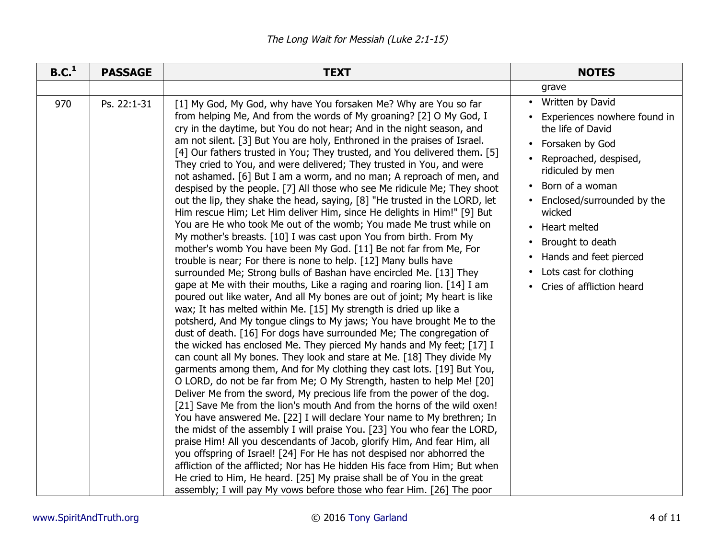| B.C. <sup>1</sup> | <b>PASSAGE</b> | <b>TEXT</b>                                                                                                                                                                                                                                                                                                                                                                                                                                                                                                                                                                                                                                                                                                                                                                                                                                                                                                                                                                                                                                                                                                                                                                                                                                                                                                                                                                                                                                                                                                                                                                                                                                                                                                                                                                                                                                                                                                                                                                                                                                                                                                                                                                                                                                                                                                                                                                                                                                                                                                    | <b>NOTES</b>                                                                                                                                                                                                                                                                                                                                        |
|-------------------|----------------|----------------------------------------------------------------------------------------------------------------------------------------------------------------------------------------------------------------------------------------------------------------------------------------------------------------------------------------------------------------------------------------------------------------------------------------------------------------------------------------------------------------------------------------------------------------------------------------------------------------------------------------------------------------------------------------------------------------------------------------------------------------------------------------------------------------------------------------------------------------------------------------------------------------------------------------------------------------------------------------------------------------------------------------------------------------------------------------------------------------------------------------------------------------------------------------------------------------------------------------------------------------------------------------------------------------------------------------------------------------------------------------------------------------------------------------------------------------------------------------------------------------------------------------------------------------------------------------------------------------------------------------------------------------------------------------------------------------------------------------------------------------------------------------------------------------------------------------------------------------------------------------------------------------------------------------------------------------------------------------------------------------------------------------------------------------------------------------------------------------------------------------------------------------------------------------------------------------------------------------------------------------------------------------------------------------------------------------------------------------------------------------------------------------------------------------------------------------------------------------------------------------|-----------------------------------------------------------------------------------------------------------------------------------------------------------------------------------------------------------------------------------------------------------------------------------------------------------------------------------------------------|
|                   |                |                                                                                                                                                                                                                                                                                                                                                                                                                                                                                                                                                                                                                                                                                                                                                                                                                                                                                                                                                                                                                                                                                                                                                                                                                                                                                                                                                                                                                                                                                                                                                                                                                                                                                                                                                                                                                                                                                                                                                                                                                                                                                                                                                                                                                                                                                                                                                                                                                                                                                                                | grave                                                                                                                                                                                                                                                                                                                                               |
| 970               | Ps. 22:1-31    | [1] My God, My God, why have You forsaken Me? Why are You so far<br>from helping Me, And from the words of My groaning? [2] O My God, I<br>cry in the daytime, but You do not hear; And in the night season, and<br>am not silent. [3] But You are holy, Enthroned in the praises of Israel.<br>[4] Our fathers trusted in You; They trusted, and You delivered them. [5]<br>They cried to You, and were delivered; They trusted in You, and were<br>not ashamed. [6] But I am a worm, and no man; A reproach of men, and<br>despised by the people. [7] All those who see Me ridicule Me; They shoot<br>out the lip, they shake the head, saying, [8] "He trusted in the LORD, let<br>Him rescue Him; Let Him deliver Him, since He delights in Him!" [9] But<br>You are He who took Me out of the womb; You made Me trust while on<br>My mother's breasts. [10] I was cast upon You from birth. From My<br>mother's womb You have been My God. [11] Be not far from Me, For<br>trouble is near; For there is none to help. [12] Many bulls have<br>surrounded Me; Strong bulls of Bashan have encircled Me. [13] They<br>gape at Me with their mouths, Like a raging and roaring lion. [14] I am<br>poured out like water, And all My bones are out of joint; My heart is like<br>wax; It has melted within Me. [15] My strength is dried up like a<br>potsherd, And My tongue clings to My jaws; You have brought Me to the<br>dust of death. [16] For dogs have surrounded Me; The congregation of<br>the wicked has enclosed Me. They pierced My hands and My feet; [17] I<br>can count all My bones. They look and stare at Me. [18] They divide My<br>garments among them, And for My clothing they cast lots. [19] But You,<br>O LORD, do not be far from Me; O My Strength, hasten to help Me! [20]<br>Deliver Me from the sword, My precious life from the power of the dog.<br>[21] Save Me from the lion's mouth And from the horns of the wild oxen!<br>You have answered Me. [22] I will declare Your name to My brethren; In<br>the midst of the assembly I will praise You. [23] You who fear the LORD,<br>praise Him! All you descendants of Jacob, glorify Him, And fear Him, all<br>you offspring of Israel! [24] For He has not despised nor abhorred the<br>affliction of the afflicted; Nor has He hidden His face from Him; But when<br>He cried to Him, He heard. [25] My praise shall be of You in the great<br>assembly; I will pay My vows before those who fear Him. [26] The poor | • Written by David<br>Experiences nowhere found in<br>the life of David<br>• Forsaken by God<br>Reproached, despised,<br>ridiculed by men<br>Born of a woman<br>Enclosed/surrounded by the<br>wicked<br>Heart melted<br>$\bullet$<br>Brought to death<br>Hands and feet pierced<br>Lots cast for clothing<br>Cries of affliction heard<br>$\bullet$ |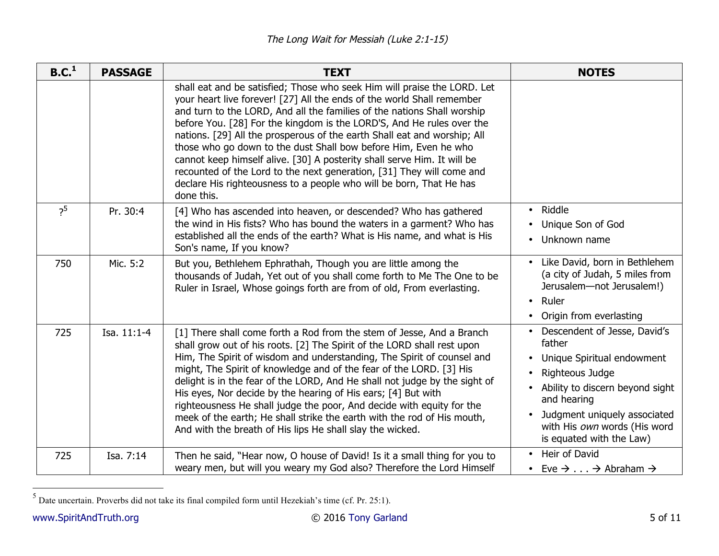| B.C. <sup>1</sup> | <b>PASSAGE</b> | <b>TEXT</b>                                                                                                                                                                                                                                                                                                                                                                                                                                                                                                                                                                                                                                                                                    | <b>NOTES</b>                                                                                                                                                                                                                              |
|-------------------|----------------|------------------------------------------------------------------------------------------------------------------------------------------------------------------------------------------------------------------------------------------------------------------------------------------------------------------------------------------------------------------------------------------------------------------------------------------------------------------------------------------------------------------------------------------------------------------------------------------------------------------------------------------------------------------------------------------------|-------------------------------------------------------------------------------------------------------------------------------------------------------------------------------------------------------------------------------------------|
|                   |                | shall eat and be satisfied; Those who seek Him will praise the LORD. Let<br>your heart live forever! [27] All the ends of the world Shall remember<br>and turn to the LORD, And all the families of the nations Shall worship<br>before You. [28] For the kingdom is the LORD'S, And He rules over the<br>nations. [29] All the prosperous of the earth Shall eat and worship; All<br>those who go down to the dust Shall bow before Him, Even he who<br>cannot keep himself alive. [30] A posterity shall serve Him. It will be<br>recounted of the Lord to the next generation, [31] They will come and<br>declare His righteousness to a people who will be born, That He has<br>done this. |                                                                                                                                                                                                                                           |
| $2^5$             | Pr. 30:4       | [4] Who has ascended into heaven, or descended? Who has gathered<br>the wind in His fists? Who has bound the waters in a garment? Who has<br>established all the ends of the earth? What is His name, and what is His<br>Son's name, If you know?                                                                                                                                                                                                                                                                                                                                                                                                                                              | • Riddle<br>• Unique Son of God<br>Unknown name                                                                                                                                                                                           |
| 750               | Mic. 5:2       | But you, Bethlehem Ephrathah, Though you are little among the<br>thousands of Judah, Yet out of you shall come forth to Me The One to be<br>Ruler in Israel, Whose goings forth are from of old, From everlasting.                                                                                                                                                                                                                                                                                                                                                                                                                                                                             | Like David, born in Bethlehem<br>(a city of Judah, 5 miles from<br>Jerusalem-not Jerusalem!)<br>Ruler<br>• Origin from everlasting                                                                                                        |
| 725               | Isa. 11:1-4    | [1] There shall come forth a Rod from the stem of Jesse, And a Branch<br>shall grow out of his roots. [2] The Spirit of the LORD shall rest upon<br>Him, The Spirit of wisdom and understanding, The Spirit of counsel and<br>might, The Spirit of knowledge and of the fear of the LORD. [3] His<br>delight is in the fear of the LORD, And He shall not judge by the sight of<br>His eyes, Nor decide by the hearing of His ears; [4] But with<br>righteousness He shall judge the poor, And decide with equity for the<br>meek of the earth; He shall strike the earth with the rod of His mouth,<br>And with the breath of His lips He shall slay the wicked.                              | • Descendent of Jesse, David's<br>father<br>Unique Spiritual endowment<br>Righteous Judge<br>Ability to discern beyond sight<br>and hearing<br>• Judgment uniquely associated<br>with His own words (His word<br>is equated with the Law) |
| 725               | Isa. 7:14      | Then he said, "Hear now, O house of David! Is it a small thing for you to<br>weary men, but will you weary my God also? Therefore the Lord Himself                                                                                                                                                                                                                                                                                                                                                                                                                                                                                                                                             | • Heir of David<br>• Eve $\rightarrow$ $\rightarrow$ Abraham $\rightarrow$                                                                                                                                                                |

 5 Date uncertain. Proverbs did not take its final compiled form until Hezekiah's time (cf. Pr. 25:1).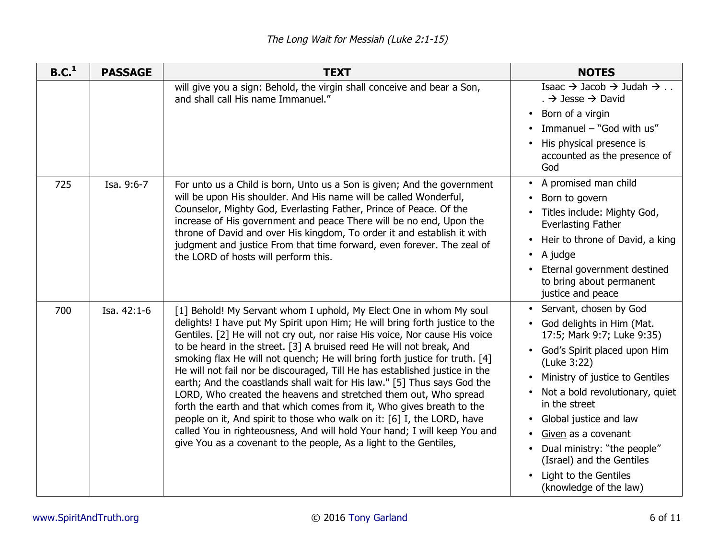| B.C. <sup>1</sup> | <b>PASSAGE</b> | <b>TEXT</b>                                                                                                                                                                                                                                                                                                                                                                                                                                                                                                                                                                                                                                                                                                                                                                                                                                                                                                                  | <b>NOTES</b>                                                                                                                                                                                                                                                                                                                                                                                         |
|-------------------|----------------|------------------------------------------------------------------------------------------------------------------------------------------------------------------------------------------------------------------------------------------------------------------------------------------------------------------------------------------------------------------------------------------------------------------------------------------------------------------------------------------------------------------------------------------------------------------------------------------------------------------------------------------------------------------------------------------------------------------------------------------------------------------------------------------------------------------------------------------------------------------------------------------------------------------------------|------------------------------------------------------------------------------------------------------------------------------------------------------------------------------------------------------------------------------------------------------------------------------------------------------------------------------------------------------------------------------------------------------|
|                   |                | will give you a sign: Behold, the virgin shall conceive and bear a Son,<br>and shall call His name Immanuel."                                                                                                                                                                                                                                                                                                                                                                                                                                                                                                                                                                                                                                                                                                                                                                                                                | Isaac $\rightarrow$ Jacob $\rightarrow$ Judah $\rightarrow$<br>. $\rightarrow$ Jesse $\rightarrow$ David<br>Born of a virgin<br>Immanuel - "God with us"<br>His physical presence is<br>accounted as the presence of<br>God                                                                                                                                                                          |
| 725               | Isa. 9:6-7     | For unto us a Child is born, Unto us a Son is given; And the government<br>will be upon His shoulder. And His name will be called Wonderful,<br>Counselor, Mighty God, Everlasting Father, Prince of Peace. Of the<br>increase of His government and peace There will be no end, Upon the<br>throne of David and over His kingdom, To order it and establish it with<br>judgment and justice From that time forward, even forever. The zeal of<br>the LORD of hosts will perform this.                                                                                                                                                                                                                                                                                                                                                                                                                                       | • A promised man child<br>Born to govern<br>Titles include: Mighty God,<br><b>Everlasting Father</b><br>Heir to throne of David, a king<br>A judge<br>$\bullet$<br>Eternal government destined<br>to bring about permanent<br>justice and peace                                                                                                                                                      |
| 700               | Isa. 42:1-6    | [1] Behold! My Servant whom I uphold, My Elect One in whom My soul<br>delights! I have put My Spirit upon Him; He will bring forth justice to the<br>Gentiles. [2] He will not cry out, nor raise His voice, Nor cause His voice<br>to be heard in the street. [3] A bruised reed He will not break, And<br>smoking flax He will not quench; He will bring forth justice for truth. [4]<br>He will not fail nor be discouraged, Till He has established justice in the<br>earth; And the coastlands shall wait for His law." [5] Thus says God the<br>LORD, Who created the heavens and stretched them out, Who spread<br>forth the earth and that which comes from it, Who gives breath to the<br>people on it, And spirit to those who walk on it: [6] I, the LORD, have<br>called You in righteousness, And will hold Your hand; I will keep You and<br>give You as a covenant to the people, As a light to the Gentiles, | Servant, chosen by God<br>$\bullet$<br>God delights in Him (Mat.<br>17:5; Mark 9:7; Luke 9:35)<br>God's Spirit placed upon Him<br>(Luke 3:22)<br>Ministry of justice to Gentiles<br>Not a bold revolutionary, quiet<br>in the street<br>Global justice and law<br>Given as a covenant<br>Dual ministry: "the people"<br>(Israel) and the Gentiles<br>Light to the Gentiles<br>(knowledge of the law) |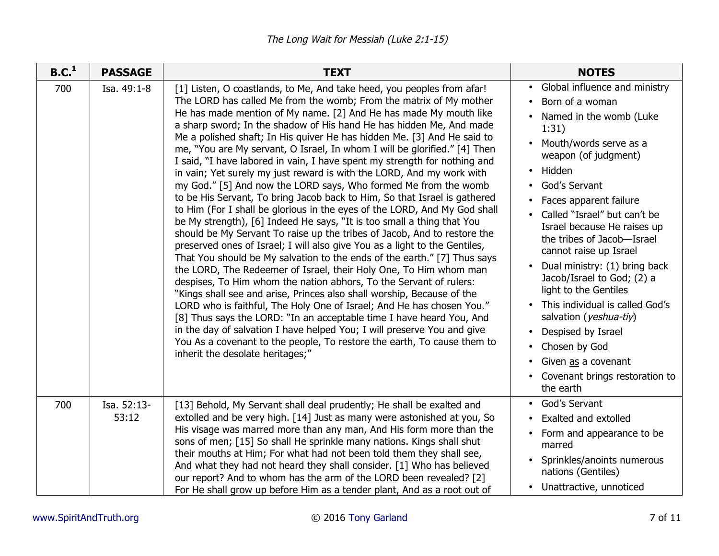| B.C. <sup>1</sup> | <b>PASSAGE</b>       | <b>TEXT</b>                                                                                                                                                                                                                                                                                                                                                                                                                                                                                                                                                                                                                                                                                                                                                                                                                                                                                                                                                                                                                                                                                                                                                                                                                                                                                                                                                                                                                                                                                                                                                                                                                                                                                                         | <b>NOTES</b>                                                                                                                                                                                                                                                                                                                                                                                                                                                                                                                                                                                                     |
|-------------------|----------------------|---------------------------------------------------------------------------------------------------------------------------------------------------------------------------------------------------------------------------------------------------------------------------------------------------------------------------------------------------------------------------------------------------------------------------------------------------------------------------------------------------------------------------------------------------------------------------------------------------------------------------------------------------------------------------------------------------------------------------------------------------------------------------------------------------------------------------------------------------------------------------------------------------------------------------------------------------------------------------------------------------------------------------------------------------------------------------------------------------------------------------------------------------------------------------------------------------------------------------------------------------------------------------------------------------------------------------------------------------------------------------------------------------------------------------------------------------------------------------------------------------------------------------------------------------------------------------------------------------------------------------------------------------------------------------------------------------------------------|------------------------------------------------------------------------------------------------------------------------------------------------------------------------------------------------------------------------------------------------------------------------------------------------------------------------------------------------------------------------------------------------------------------------------------------------------------------------------------------------------------------------------------------------------------------------------------------------------------------|
| 700               | Isa. 49:1-8          | [1] Listen, O coastlands, to Me, And take heed, you peoples from afar!<br>The LORD has called Me from the womb; From the matrix of My mother<br>He has made mention of My name. [2] And He has made My mouth like<br>a sharp sword; In the shadow of His hand He has hidden Me, And made<br>Me a polished shaft; In His quiver He has hidden Me. [3] And He said to<br>me, "You are My servant, O Israel, In whom I will be glorified." [4] Then<br>I said, "I have labored in vain, I have spent my strength for nothing and<br>in vain; Yet surely my just reward is with the LORD, And my work with<br>my God." [5] And now the LORD says, Who formed Me from the womb<br>to be His Servant, To bring Jacob back to Him, So that Israel is gathered<br>to Him (For I shall be glorious in the eyes of the LORD, And My God shall<br>be My strength), [6] Indeed He says, "It is too small a thing that You<br>should be My Servant To raise up the tribes of Jacob, And to restore the<br>preserved ones of Israel; I will also give You as a light to the Gentiles,<br>That You should be My salvation to the ends of the earth." [7] Thus says<br>the LORD, The Redeemer of Israel, their Holy One, To Him whom man<br>despises, To Him whom the nation abhors, To the Servant of rulers:<br>"Kings shall see and arise, Princes also shall worship, Because of the<br>LORD who is faithful, The Holy One of Israel; And He has chosen You."<br>[8] Thus says the LORD: "In an acceptable time I have heard You, And<br>in the day of salvation I have helped You; I will preserve You and give<br>You As a covenant to the people, To restore the earth, To cause them to<br>inherit the desolate heritages;" | Global influence and ministry<br>$\bullet$<br>Born of a woman<br>Named in the womb (Luke<br>1:31)<br>Mouth/words serve as a<br>weapon (of judgment)<br>Hidden<br>$\bullet$<br>God's Servant<br>Faces apparent failure<br>Called "Israel" but can't be<br>Israel because He raises up<br>the tribes of Jacob-Israel<br>cannot raise up Israel<br>Dual ministry: (1) bring back<br>Jacob/Israel to God; (2) a<br>light to the Gentiles<br>• This individual is called God's<br>salvation (yeshua-tiy)<br>Despised by Israel<br>Chosen by God<br>Given as a covenant<br>Covenant brings restoration to<br>the earth |
| 700               | Isa. 52:13-<br>53:12 | [13] Behold, My Servant shall deal prudently; He shall be exalted and<br>extolled and be very high. [14] Just as many were astonished at you, So<br>His visage was marred more than any man, And His form more than the<br>sons of men; [15] So shall He sprinkle many nations. Kings shall shut<br>their mouths at Him; For what had not been told them they shall see,<br>And what they had not heard they shall consider. [1] Who has believed<br>our report? And to whom has the arm of the LORD been revealed? [2]<br>For He shall grow up before Him as a tender plant, And as a root out of                                                                                                                                                                                                                                                                                                                                                                                                                                                                                                                                                                                                                                                                                                                                                                                                                                                                                                                                                                                                                                                                                                                  | God's Servant<br><b>Exalted and extolled</b><br>Form and appearance to be<br>marred<br>Sprinkles/anoints numerous<br>nations (Gentiles)<br>• Unattractive, unnoticed                                                                                                                                                                                                                                                                                                                                                                                                                                             |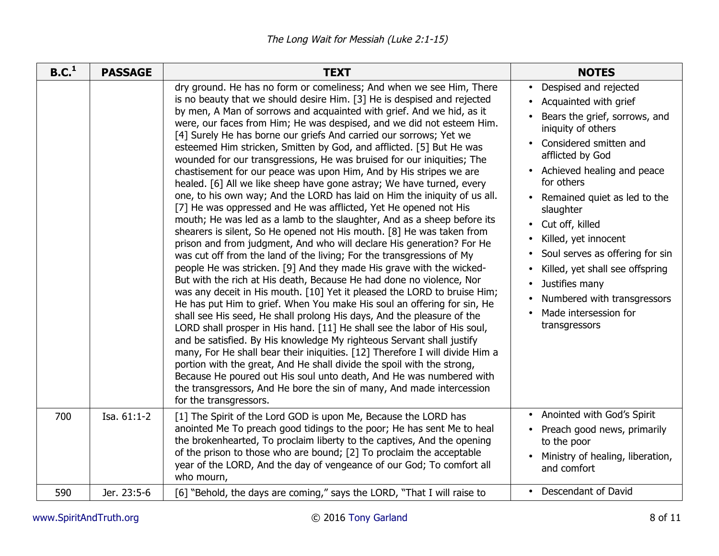| B.C. <sup>1</sup> | <b>PASSAGE</b> | <b>TEXT</b>                                                                                                                                                                                                                                                                                                                                                                                                                                                                                                                                                                                                                                                                                                                                                                                                                                                                                                                                                                                                                                                                                                                                                                                                                                                                                                                                                                                                                                                                                                                                                                                                                                                                                                                                                                                                                                                                                                                                                                                               | <b>NOTES</b>                                                                                                                                                                                                                                                                                                                                                                                                                                                                    |
|-------------------|----------------|-----------------------------------------------------------------------------------------------------------------------------------------------------------------------------------------------------------------------------------------------------------------------------------------------------------------------------------------------------------------------------------------------------------------------------------------------------------------------------------------------------------------------------------------------------------------------------------------------------------------------------------------------------------------------------------------------------------------------------------------------------------------------------------------------------------------------------------------------------------------------------------------------------------------------------------------------------------------------------------------------------------------------------------------------------------------------------------------------------------------------------------------------------------------------------------------------------------------------------------------------------------------------------------------------------------------------------------------------------------------------------------------------------------------------------------------------------------------------------------------------------------------------------------------------------------------------------------------------------------------------------------------------------------------------------------------------------------------------------------------------------------------------------------------------------------------------------------------------------------------------------------------------------------------------------------------------------------------------------------------------------------|---------------------------------------------------------------------------------------------------------------------------------------------------------------------------------------------------------------------------------------------------------------------------------------------------------------------------------------------------------------------------------------------------------------------------------------------------------------------------------|
|                   |                | dry ground. He has no form or comeliness; And when we see Him, There<br>is no beauty that we should desire Him. [3] He is despised and rejected<br>by men, A Man of sorrows and acquainted with grief. And we hid, as it<br>were, our faces from Him; He was despised, and we did not esteem Him.<br>[4] Surely He has borne our griefs And carried our sorrows; Yet we<br>esteemed Him stricken, Smitten by God, and afflicted. [5] But He was<br>wounded for our transgressions, He was bruised for our iniquities; The<br>chastisement for our peace was upon Him, And by His stripes we are<br>healed. [6] All we like sheep have gone astray; We have turned, every<br>one, to his own way; And the LORD has laid on Him the iniquity of us all.<br>[7] He was oppressed and He was afflicted, Yet He opened not His<br>mouth; He was led as a lamb to the slaughter, And as a sheep before its<br>shearers is silent, So He opened not His mouth. [8] He was taken from<br>prison and from judgment, And who will declare His generation? For He<br>was cut off from the land of the living; For the transgressions of My<br>people He was stricken. [9] And they made His grave with the wicked-<br>But with the rich at His death, Because He had done no violence, Nor<br>was any deceit in His mouth. [10] Yet it pleased the LORD to bruise Him;<br>He has put Him to grief. When You make His soul an offering for sin, He<br>shall see His seed, He shall prolong His days, And the pleasure of the<br>LORD shall prosper in His hand. [11] He shall see the labor of His soul,<br>and be satisfied. By His knowledge My righteous Servant shall justify<br>many, For He shall bear their iniquities. [12] Therefore I will divide Him a<br>portion with the great, And He shall divide the spoil with the strong,<br>Because He poured out His soul unto death, And He was numbered with<br>the transgressors, And He bore the sin of many, And made intercession<br>for the transgressors. | Despised and rejected<br>$\bullet$<br>• Acquainted with grief<br>Bears the grief, sorrows, and<br>iniquity of others<br>• Considered smitten and<br>afflicted by God<br>• Achieved healing and peace<br>for others<br>• Remained quiet as led to the<br>slaughter<br>• Cut off, killed<br>Killed, yet innocent<br>Soul serves as offering for sin<br>Killed, yet shall see offspring<br>Justifies many<br>Numbered with transgressors<br>Made intersession for<br>transgressors |
| 700               | Isa. 61:1-2    | [1] The Spirit of the Lord GOD is upon Me, Because the LORD has<br>anointed Me To preach good tidings to the poor; He has sent Me to heal<br>the brokenhearted, To proclaim liberty to the captives, And the opening<br>of the prison to those who are bound; [2] To proclaim the acceptable<br>year of the LORD, And the day of vengeance of our God; To comfort all<br>who mourn,                                                                                                                                                                                                                                                                                                                                                                                                                                                                                                                                                                                                                                                                                                                                                                                                                                                                                                                                                                                                                                                                                                                                                                                                                                                                                                                                                                                                                                                                                                                                                                                                                       | • Anointed with God's Spirit<br>• Preach good news, primarily<br>to the poor<br>Ministry of healing, liberation,<br>and comfort                                                                                                                                                                                                                                                                                                                                                 |
| 590               | Jer. 23:5-6    | [6] "Behold, the days are coming," says the LORD, "That I will raise to                                                                                                                                                                                                                                                                                                                                                                                                                                                                                                                                                                                                                                                                                                                                                                                                                                                                                                                                                                                                                                                                                                                                                                                                                                                                                                                                                                                                                                                                                                                                                                                                                                                                                                                                                                                                                                                                                                                                   | • Descendant of David                                                                                                                                                                                                                                                                                                                                                                                                                                                           |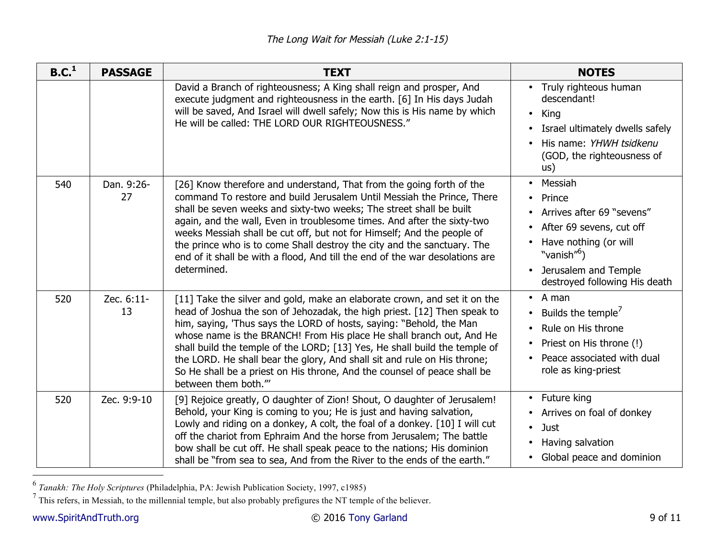| B.C. <sup>1</sup> | <b>PASSAGE</b>   | <b>TEXT</b>                                                                                                                                                                                                                                                                                                                                                                                                                                                                                                                                                       | <b>NOTES</b>                                                                                                                                                                                         |
|-------------------|------------------|-------------------------------------------------------------------------------------------------------------------------------------------------------------------------------------------------------------------------------------------------------------------------------------------------------------------------------------------------------------------------------------------------------------------------------------------------------------------------------------------------------------------------------------------------------------------|------------------------------------------------------------------------------------------------------------------------------------------------------------------------------------------------------|
|                   |                  | David a Branch of righteousness; A King shall reign and prosper, And<br>execute judgment and righteousness in the earth. [6] In His days Judah<br>will be saved, And Israel will dwell safely; Now this is His name by which<br>He will be called: THE LORD OUR RIGHTEOUSNESS."                                                                                                                                                                                                                                                                                   | • Truly righteous human<br>descendant!<br>King<br>$\bullet$<br>Israel ultimately dwells safely<br>His name: YHWH tsidkenu<br>(GOD, the righteousness of<br>us)                                       |
| 540               | Dan. 9:26-<br>27 | [26] Know therefore and understand, That from the going forth of the<br>command To restore and build Jerusalem Until Messiah the Prince, There<br>shall be seven weeks and sixty-two weeks; The street shall be built<br>again, and the wall, Even in troublesome times. And after the sixty-two<br>weeks Messiah shall be cut off, but not for Himself; And the people of<br>the prince who is to come Shall destroy the city and the sanctuary. The<br>end of it shall be with a flood, And till the end of the war desolations are<br>determined.              | Messiah<br>Prince<br>Arrives after 69 "sevens"<br>After 69 sevens, cut off<br>Have nothing (or will<br>"vanish" <sup>6</sup> )<br>Jerusalem and Temple<br>$\bullet$<br>destroyed following His death |
| 520               | Zec. 6:11-<br>13 | [11] Take the silver and gold, make an elaborate crown, and set it on the<br>head of Joshua the son of Jehozadak, the high priest. [12] Then speak to<br>him, saying, 'Thus says the LORD of hosts, saying: "Behold, the Man<br>whose name is the BRANCH! From His place He shall branch out, And He<br>shall build the temple of the LORD; [13] Yes, He shall build the temple of<br>the LORD. He shall bear the glory, And shall sit and rule on His throne;<br>So He shall be a priest on His throne, And the counsel of peace shall be<br>between them both." | A man<br>$\bullet$<br>Builds the temple <sup>'</sup><br>Rule on His throne<br>Priest on His throne (!)<br>$\bullet$<br>Peace associated with dual<br>role as king-priest                             |
| 520               | Zec. 9:9-10      | [9] Rejoice greatly, O daughter of Zion! Shout, O daughter of Jerusalem!<br>Behold, your King is coming to you; He is just and having salvation,<br>Lowly and riding on a donkey, A colt, the foal of a donkey. [10] I will cut<br>off the chariot from Ephraim And the horse from Jerusalem; The battle<br>bow shall be cut off. He shall speak peace to the nations; His dominion<br>shall be "from sea to sea, And from the River to the ends of the earth."                                                                                                   | Future king<br>Arrives on foal of donkey<br>$\bullet$<br>Just<br>$\bullet$<br>Having salvation<br>Global peace and dominion                                                                          |

<sup>&</sup>lt;sup>6</sup> Tanakh: *The Holy Scriptures* (Philadelphia, PA: Jewish Publication Society, 1997, c1985)<br><sup>7</sup> This refers, in Messiah, to the millennial temple, but also probably prefigures the NT temple of the believer.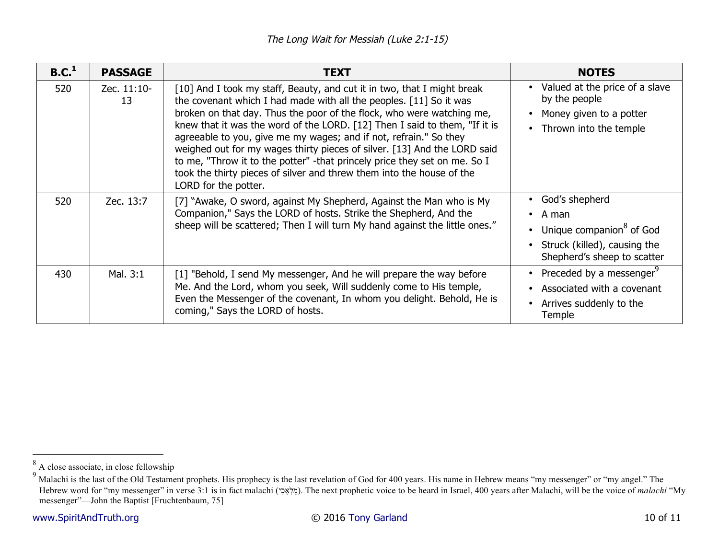| B.C. <sup>1</sup> | <b>PASSAGE</b>    | <b>TEXT</b>                                                                                                                                                                                                                                                                                                                                                                                                                                                                                                                                                                                                                          | <b>NOTES</b>                                                                                                                                                  |
|-------------------|-------------------|--------------------------------------------------------------------------------------------------------------------------------------------------------------------------------------------------------------------------------------------------------------------------------------------------------------------------------------------------------------------------------------------------------------------------------------------------------------------------------------------------------------------------------------------------------------------------------------------------------------------------------------|---------------------------------------------------------------------------------------------------------------------------------------------------------------|
| 520               | Zec. 11:10-<br>13 | [10] And I took my staff, Beauty, and cut it in two, that I might break<br>the covenant which I had made with all the peoples. [11] So it was<br>broken on that day. Thus the poor of the flock, who were watching me,<br>knew that it was the word of the LORD. [12] Then I said to them, "If it is<br>agreeable to you, give me my wages; and if not, refrain." So they<br>weighed out for my wages thirty pieces of silver. [13] And the LORD said<br>to me, "Throw it to the potter" - that princely price they set on me. So I<br>took the thirty pieces of silver and threw them into the house of the<br>LORD for the potter. | Valued at the price of a slave<br>by the people<br>Money given to a potter<br>Thrown into the temple<br>$\bullet$                                             |
| 520               | Zec. 13:7         | [7] "Awake, O sword, against My Shepherd, Against the Man who is My<br>Companion," Says the LORD of hosts. Strike the Shepherd, And the<br>sheep will be scattered; Then I will turn My hand against the little ones."                                                                                                                                                                                                                                                                                                                                                                                                               | God's shepherd<br>٠<br>A man<br>$\bullet$<br>Unique companion <sup>8</sup> of God<br>$\bullet$<br>Struck (killed), causing the<br>Shepherd's sheep to scatter |
| 430               | Mal. 3:1          | [1] "Behold, I send My messenger, And he will prepare the way before<br>Me. And the Lord, whom you seek, Will suddenly come to His temple,<br>Even the Messenger of the covenant, In whom you delight. Behold, He is<br>coming," Says the LORD of hosts.                                                                                                                                                                                                                                                                                                                                                                             | Preceded by a messenger <sup>9</sup><br>$\bullet$<br>Associated with a covenant<br>Arrives suddenly to the<br>Temple                                          |

<sup>&</sup>lt;sup>8</sup> A close associate, in close fellowship

<sup>&</sup>lt;sup>9</sup> Malachi is the last of the Old Testament prophets. His prophecy is the last revelation of God for 400 years. His name in Hebrew means "my messenger" or "my angel." The Hebrew word for "my messenger" in verse 3:1 is in fact malachi (מַלְאֵכִי). The next prophetic voice to be heard in Israel, 400 years after Malachi, will be the voice of *malachi* "My messenger"—John the Baptist [Fruchtenbaum, 75]